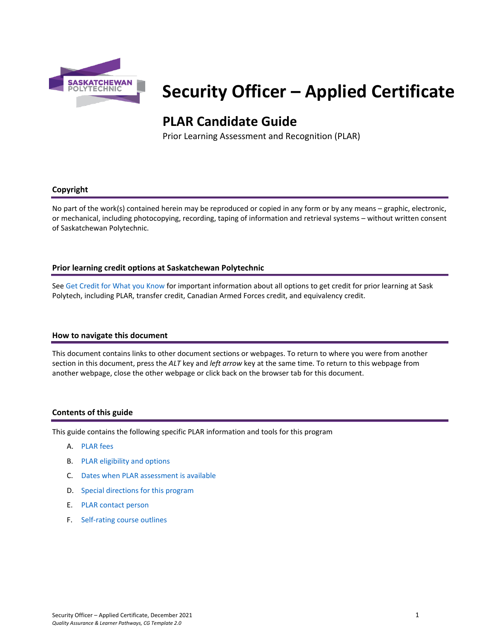

# **Security Officer – Applied Certificate**

# **PLAR Candidate Guide**

Prior Learning Assessment and Recognition (PLAR)

#### **Copyright**

No part of the work(s) contained herein may be reproduced or copied in any form or by any means – graphic, electronic, or mechanical, including photocopying, recording, taping of information and retrieval systems – without written consent of Saskatchewan Polytechnic.

### **Prior learning credit options at Saskatchewan Polytechnic**

Se[e Get Credit for What you Know](https://saskpolytech.ca/admissions/get-credit/) for important information about all options to get credit for prior learning at Sask Polytech, including PLAR, transfer credit, Canadian Armed Forces credit, and equivalency credit.

#### **How to navigate this document**

This document contains links to other document sections or webpages. To return to where you were from another section in this document, press the *ALT* key and *left arrow* key at the same time. To return to this webpage from another webpage, close the other webpage or click back on the browser tab for this document.

#### **Contents of this guide**

This guide contains the following specific PLAR information and tools for this program

- A. [PLAR fees](#page-1-0)
- B. [PLAR eligibility and options](#page-1-1)
- C. [Dates when PLAR assessment is available](#page-1-2)
- D. [Special directions for this program](#page-1-3)
- E. PLAR [contact person](#page-2-0)
- F. [Self-rating course outlines](#page-2-1)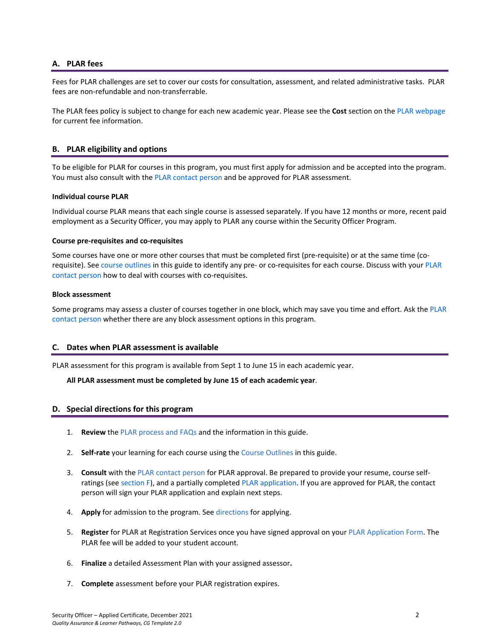#### <span id="page-1-0"></span>**A. PLAR fees**

Fees for PLAR challenges are set to cover our costs for consultation, assessment, and related administrative tasks. PLAR fees are non-refundable and non-transferrable.

<span id="page-1-1"></span>The PLAR fees policy is subject to change for each new academic year. Please see the **Cost** section on the [PLAR webpage](https://saskpolytech.ca/admissions/get-credit/plar.aspx) for current fee information.

#### **B. PLAR eligibility and options**

To be eligible for PLAR for courses in this program, you must first apply for admission and be accepted into the program. You must also consult with th[e PLAR contact person](#page-2-0) and be approved for PLAR assessment.

#### **Individual course PLAR**

Individual course PLAR means that each single course is assessed separately. If you have 12 months or more, recent paid employment as a Security Officer, you may apply to PLAR any course within the Security Officer Program.

#### **Course pre-requisites and co-requisites**

Some courses have one or more other courses that must be completed first (pre-requisite) or at the same time (corequisite). See course outlines in this guide to identify any pre- or co-requisites for each course. Discuss with your [PLAR](#page-2-0)  [contact person](#page-2-0) how to deal with courses with co-requisites.

#### **Block assessment**

<span id="page-1-2"></span>Some programs may assess a cluster of courses together in one block, which may save you time and effort. Ask the [PLAR](#page-2-0)  [contact person](#page-2-0) whether there are any block assessment options in this program.

#### **C. Dates when PLAR assessment is available**

PLAR assessment for this program is available from Sept 1 to June 15 in each academic year.

#### <span id="page-1-3"></span>**All PLAR assessment must be completed by June 15 of each academic year**.

#### **D. Special directions for this program**

- 1. **Review** th[e PLAR process and FAQs](https://saskpolytech.ca/admissions/get-credit/plar.aspx) and the information in this guide.
- 2. **Self-rate** your learning for each course using the Course Outlines in this guide.
- 3. **Consult** with th[e PLAR contact person](#page-2-0) for PLAR approval. Be prepared to provide your resume, course selfratings (see section F), and a partially complete[d PLAR application.](https://saskpolytech.ca/admissions/resources/documents/plar-application-form.pdf) If you are approved for PLAR, the contact person will sign your PLAR application and explain next steps.
- 4. **Apply** for admission to the program. Se[e directions](https://saskpolytech.ca/admissions/apply-and-register/apply-to-a-program.aspx) for applying.
- 5. **Register** for PLAR at Registration Services once you have signed approval on your [PLAR Application Form.](http://saskpolytech.ca/admissions/resources/documents/plar-application-form.pdf) The PLAR fee will be added to your student account.
- 6. **Finalize** a detailed Assessment Plan with your assigned assessor**.**
- 7. **Complete** assessment before your PLAR registration expires.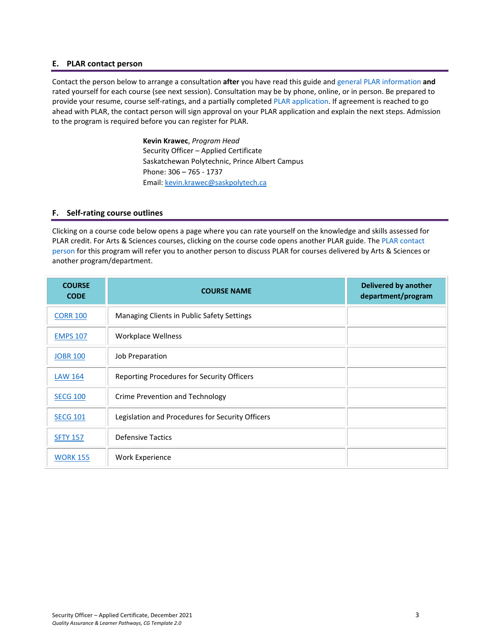#### <span id="page-2-0"></span>**E. PLAR contact person**

Contact the person below to arrange a consultation **after** you have read this guide and [general PLAR information](http://saskpolytech.ca/admissions/resources/prior-learning-process.aspx) **and** rated yourself for each course (see next session). Consultation may be by phone, online, or in person. Be prepared to provide your resume, course self-ratings, and a partially complete[d PLAR application.](https://saskpolytech.ca/admissions/resources/documents/plar-application-form.pdf#search=PLAR%20application) If agreement is reached to go ahead with PLAR, the contact person will sign approval on your PLAR application and explain the next steps. Admission to the program is required before you can register for PLAR.

> **Kevin Krawec**, *Program Head* Security Officer – Applied Certificate Saskatchewan Polytechnic, Prince Albert Campus Phone: 306 – 765 - 1737 Email[: kevin.krawec@saskpolytech.ca](mailto:kevin.krawec@saskpolytech.ca)

#### <span id="page-2-1"></span>**F. Self-rating course outlines**

Clicking on a course code below opens a page where you can rate yourself on the knowledge and skills assessed for PLAR credit. For Arts & Sciences courses, clicking on the course code opens another PLAR guide. The [PLAR contact](#page-2-0)  [person](#page-2-0) for this program will refer you to another person to discuss PLAR for courses delivered by Arts & Sciences or another program/department.

| <b>COURSE</b><br><b>CODE</b> | <b>COURSE NAME</b>                               | <b>Delivered by another</b><br>department/program |
|------------------------------|--------------------------------------------------|---------------------------------------------------|
| <b>CORR 100</b>              | Managing Clients in Public Safety Settings       |                                                   |
| <b>EMPS 107</b>              | <b>Workplace Wellness</b>                        |                                                   |
| <b>JOBR 100</b>              | Job Preparation                                  |                                                   |
| <b>LAW 164</b>               | Reporting Procedures for Security Officers       |                                                   |
| <b>SECG 100</b>              | Crime Prevention and Technology                  |                                                   |
| <b>SECG 101</b>              | Legislation and Procedures for Security Officers |                                                   |
| <b>SFTY 157</b>              | <b>Defensive Tactics</b>                         |                                                   |
| <b>WORK 155</b>              | <b>Work Experience</b>                           |                                                   |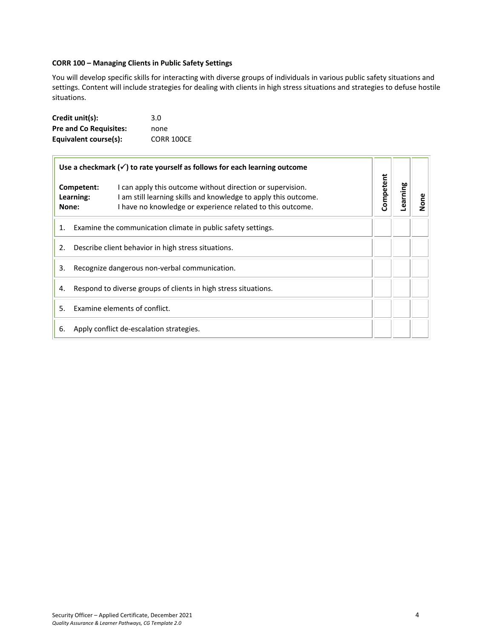#### <span id="page-3-0"></span>**CORR 100 – Managing Clients in Public Safety Settings**

You will develop specific skills for interacting with diverse groups of individuals in various public safety situations and settings. Content will include strategies for dealing with clients in high stress situations and strategies to defuse hostile situations.

| Credit unit(s):               | 3.0               |
|-------------------------------|-------------------|
| <b>Pre and Co Requisites:</b> | none              |
| Equivalent course(s):         | <b>CORR 100CE</b> |

| Use a checkmark $(\checkmark)$ to rate yourself as follows for each learning outcome |                                                                 |                                                                                                                                                                                             |           |          |      |
|--------------------------------------------------------------------------------------|-----------------------------------------------------------------|---------------------------------------------------------------------------------------------------------------------------------------------------------------------------------------------|-----------|----------|------|
|                                                                                      | Competent:<br>Learning:<br>None:                                | I can apply this outcome without direction or supervision.<br>I am still learning skills and knowledge to apply this outcome.<br>I have no knowledge or experience related to this outcome. | Competent | Learning | None |
| 1.                                                                                   | Examine the communication climate in public safety settings.    |                                                                                                                                                                                             |           |          |      |
| 2.                                                                                   | Describe client behavior in high stress situations.             |                                                                                                                                                                                             |           |          |      |
| 3.                                                                                   | Recognize dangerous non-verbal communication.                   |                                                                                                                                                                                             |           |          |      |
| 4.                                                                                   | Respond to diverse groups of clients in high stress situations. |                                                                                                                                                                                             |           |          |      |
| 5.                                                                                   | Examine elements of conflict.                                   |                                                                                                                                                                                             |           |          |      |
| 6.                                                                                   | Apply conflict de-escalation strategies.                        |                                                                                                                                                                                             |           |          |      |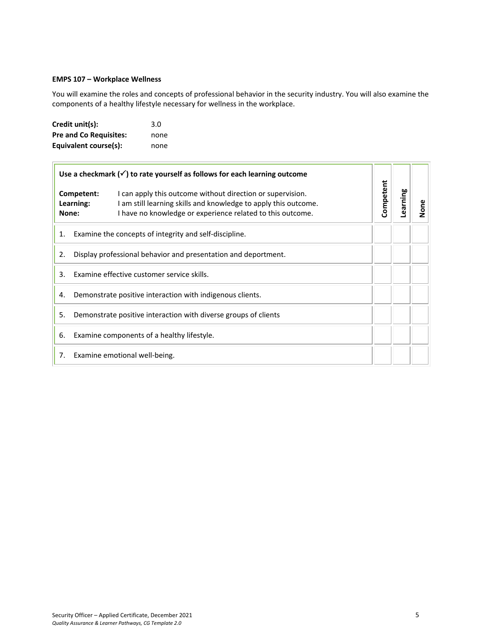#### <span id="page-4-0"></span>**EMPS 107 – Workplace Wellness**

You will examine the roles and concepts of professional behavior in the security industry. You will also examine the components of a healthy lifestyle necessary for wellness in the workplace.

| Credit unit(s):               | 3.0  |
|-------------------------------|------|
| <b>Pre and Co Requisites:</b> | none |
| Equivalent course(s):         | none |

 $\overline{ }$ 

| Use a checkmark $(\check{\mathcal{C}})$ to rate yourself as follows for each learning outcome |                                                                                                                                                                                                                                 |           |          |      |
|-----------------------------------------------------------------------------------------------|---------------------------------------------------------------------------------------------------------------------------------------------------------------------------------------------------------------------------------|-----------|----------|------|
|                                                                                               | Competent:<br>I can apply this outcome without direction or supervision.<br>I am still learning skills and knowledge to apply this outcome.<br>Learning:<br>I have no knowledge or experience related to this outcome.<br>None: | Competent | Learning | None |
| Examine the concepts of integrity and self-discipline.<br>1.                                  |                                                                                                                                                                                                                                 |           |          |      |
| Display professional behavior and presentation and deportment.<br>2.                          |                                                                                                                                                                                                                                 |           |          |      |
| 3.                                                                                            | Examine effective customer service skills.                                                                                                                                                                                      |           |          |      |
| 4.                                                                                            | Demonstrate positive interaction with indigenous clients.                                                                                                                                                                       |           |          |      |
| 5.                                                                                            | Demonstrate positive interaction with diverse groups of clients                                                                                                                                                                 |           |          |      |
| 6.                                                                                            | Examine components of a healthy lifestyle.                                                                                                                                                                                      |           |          |      |
| 7.                                                                                            | Examine emotional well-being.                                                                                                                                                                                                   |           |          |      |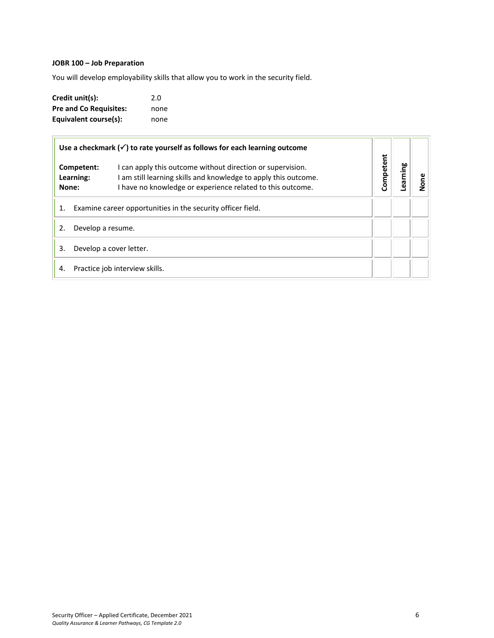# <span id="page-5-0"></span>**JOBR 100 – Job Preparation**

You will develop employability skills that allow you to work in the security field.

| Credit unit(s):               | 2.0  |
|-------------------------------|------|
| <b>Pre and Co Requisites:</b> | none |
| Equivalent course(s):         | none |

| Use a checkmark $(\checkmark)$ to rate yourself as follows for each learning outcome |                         |                                                                                                                                                                                           |           |         |      |
|--------------------------------------------------------------------------------------|-------------------------|-------------------------------------------------------------------------------------------------------------------------------------------------------------------------------------------|-----------|---------|------|
| None:                                                                                | Competent:<br>Learning: | I can apply this outcome without direction or supervision.<br>am still learning skills and knowledge to apply this outcome.<br>I have no knowledge or experience related to this outcome. | Competent | earning | None |
| 1.                                                                                   |                         | Examine career opportunities in the security officer field.                                                                                                                               |           |         |      |
|                                                                                      | Develop a resume.       |                                                                                                                                                                                           |           |         |      |
| Develop a cover letter.<br>3.                                                        |                         |                                                                                                                                                                                           |           |         |      |
| 4.                                                                                   |                         | Practice job interview skills.                                                                                                                                                            |           |         |      |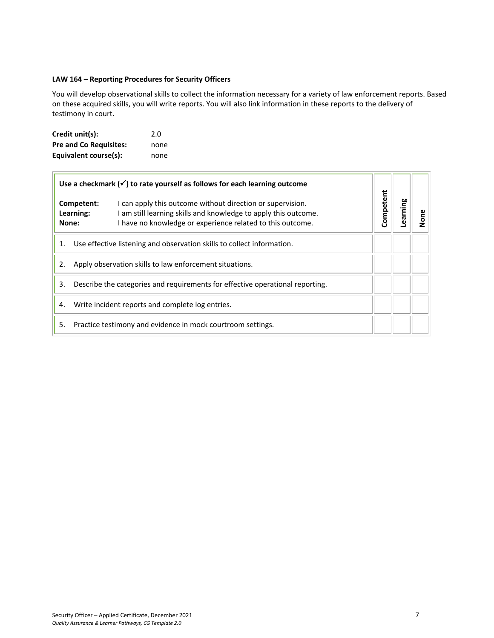#### <span id="page-6-0"></span>**LAW 164 – Reporting Procedures for Security Officers**

You will develop observational skills to collect the information necessary for a variety of law enforcement reports. Based on these acquired skills, you will write reports. You will also link information in these reports to the delivery of testimony in court.

| Credit unit(s):               | 2.0  |
|-------------------------------|------|
| <b>Pre and Co Requisites:</b> | none |
| Equivalent course(s):         | none |

 $\equiv$ 

|    | Use a checkmark $(\checkmark)$ to rate yourself as follows for each learning outcome |                                                                                                                                                                                             |           |  |  |
|----|--------------------------------------------------------------------------------------|---------------------------------------------------------------------------------------------------------------------------------------------------------------------------------------------|-----------|--|--|
|    | Competent:<br>Learning:<br>None:                                                     | I can apply this outcome without direction or supervision.<br>I am still learning skills and knowledge to apply this outcome.<br>I have no knowledge or experience related to this outcome. | Competent |  |  |
| 1. |                                                                                      | Use effective listening and observation skills to collect information.                                                                                                                      |           |  |  |
| 2. |                                                                                      | Apply observation skills to law enforcement situations.                                                                                                                                     |           |  |  |
| 3. |                                                                                      | Describe the categories and requirements for effective operational reporting.                                                                                                               |           |  |  |
| 4. |                                                                                      | Write incident reports and complete log entries.                                                                                                                                            |           |  |  |
| 5. |                                                                                      | Practice testimony and evidence in mock courtroom settings.                                                                                                                                 |           |  |  |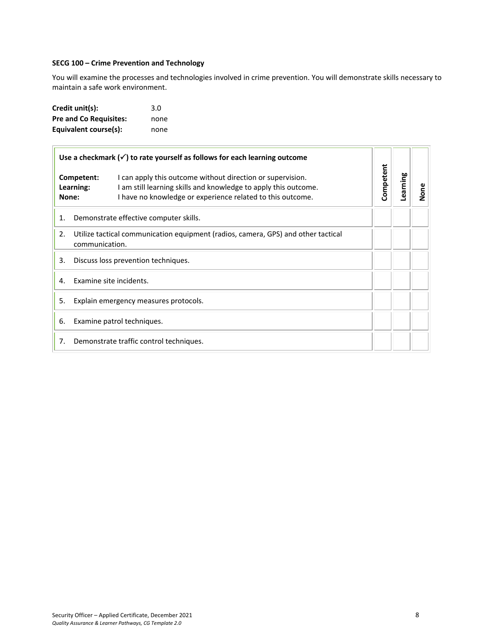#### <span id="page-7-0"></span>**SECG 100 – Crime Prevention and Technology**

You will examine the processes and technologies involved in crime prevention. You will demonstrate skills necessary to maintain a safe work environment.

| Credit unit(s):               | 3.0  |
|-------------------------------|------|
| <b>Pre and Co Requisites:</b> | none |
| Equivalent course(s):         | none |

| Use a checkmark $(\checkmark)$ to rate yourself as follows for each learning outcome |                                                                                                     |                                                                                                                                                                                             |           |          |      |
|--------------------------------------------------------------------------------------|-----------------------------------------------------------------------------------------------------|---------------------------------------------------------------------------------------------------------------------------------------------------------------------------------------------|-----------|----------|------|
|                                                                                      | Competent:<br>Learning:<br>None:                                                                    | I can apply this outcome without direction or supervision.<br>I am still learning skills and knowledge to apply this outcome.<br>I have no knowledge or experience related to this outcome. | Competent | Learning | None |
| 1.                                                                                   | Demonstrate effective computer skills.                                                              |                                                                                                                                                                                             |           |          |      |
| 2.                                                                                   | Utilize tactical communication equipment (radios, camera, GPS) and other tactical<br>communication. |                                                                                                                                                                                             |           |          |      |
| 3.                                                                                   | Discuss loss prevention techniques.                                                                 |                                                                                                                                                                                             |           |          |      |
| 4.                                                                                   | Examine site incidents.                                                                             |                                                                                                                                                                                             |           |          |      |
| 5.                                                                                   | Explain emergency measures protocols.                                                               |                                                                                                                                                                                             |           |          |      |
| 6.                                                                                   | Examine patrol techniques.                                                                          |                                                                                                                                                                                             |           |          |      |
| 7.                                                                                   | Demonstrate traffic control techniques.                                                             |                                                                                                                                                                                             |           |          |      |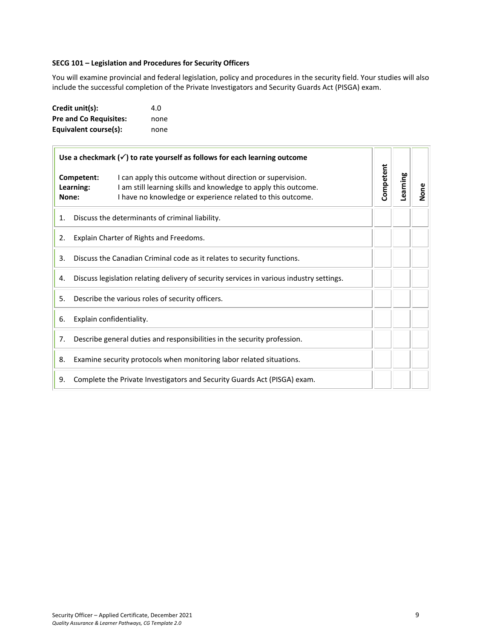#### <span id="page-8-0"></span>**SECG 101 – Legislation and Procedures for Security Officers**

You will examine provincial and federal legislation, policy and procedures in the security field. Your studies will also include the successful completion of the Private Investigators and Security Guards Act (PISGA) exam.

| Credit unit(s):               | 4.O  |
|-------------------------------|------|
| <b>Pre and Co Requisites:</b> | none |
| Equivalent course(s):         | none |

| Use a checkmark $(\checkmark)$ to rate yourself as follows for each learning outcome |                                                                         |                                                                                                                                                                                             |           |          |      |
|--------------------------------------------------------------------------------------|-------------------------------------------------------------------------|---------------------------------------------------------------------------------------------------------------------------------------------------------------------------------------------|-----------|----------|------|
| Competent:<br>Learning:<br>None:                                                     |                                                                         | I can apply this outcome without direction or supervision.<br>I am still learning skills and knowledge to apply this outcome.<br>I have no knowledge or experience related to this outcome. | Competent | Learning | None |
| Discuss the determinants of criminal liability.<br>1.                                |                                                                         |                                                                                                                                                                                             |           |          |      |
| 2.                                                                                   | Explain Charter of Rights and Freedoms.                                 |                                                                                                                                                                                             |           |          |      |
| 3.                                                                                   | Discuss the Canadian Criminal code as it relates to security functions. |                                                                                                                                                                                             |           |          |      |
| 4.                                                                                   |                                                                         | Discuss legislation relating delivery of security services in various industry settings.                                                                                                    |           |          |      |
| 5.                                                                                   | Describe the various roles of security officers.                        |                                                                                                                                                                                             |           |          |      |
| 6.                                                                                   | Explain confidentiality.                                                |                                                                                                                                                                                             |           |          |      |
| 7.                                                                                   |                                                                         | Describe general duties and responsibilities in the security profession.                                                                                                                    |           |          |      |
| 8.                                                                                   |                                                                         | Examine security protocols when monitoring labor related situations.                                                                                                                        |           |          |      |
| 9.                                                                                   |                                                                         | Complete the Private Investigators and Security Guards Act (PISGA) exam.                                                                                                                    |           |          |      |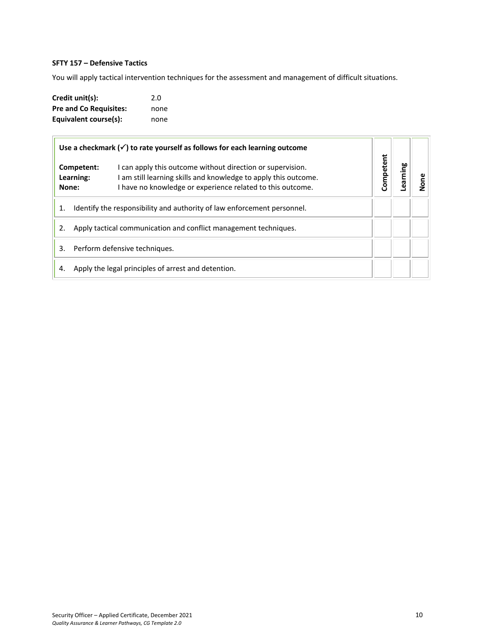## <span id="page-9-0"></span>**SFTY 157 – Defensive Tactics**

You will apply tactical intervention techniques for the assessment and management of difficult situations.

| Credit unit(s):               | 2.0  |
|-------------------------------|------|
| <b>Pre and Co Requisites:</b> | none |
| Equivalent course(s):         | none |

| Use a checkmark $(\checkmark)$ to rate yourself as follows for each learning outcome |                                                     |                                                                                                                                                                                           |           |         |                      |
|--------------------------------------------------------------------------------------|-----------------------------------------------------|-------------------------------------------------------------------------------------------------------------------------------------------------------------------------------------------|-----------|---------|----------------------|
| Competent:<br>Learning:<br>None:                                                     |                                                     | I can apply this outcome without direction or supervision.<br>am still learning skills and knowledge to apply this outcome.<br>I have no knowledge or experience related to this outcome. | Competent | earning | $\tilde{\mathbf{s}}$ |
| Identify the responsibility and authority of law enforcement personnel.<br>1.        |                                                     |                                                                                                                                                                                           |           |         |                      |
| Apply tactical communication and conflict management techniques.<br>2.               |                                                     |                                                                                                                                                                                           |           |         |                      |
| Perform defensive techniques.<br>3.                                                  |                                                     |                                                                                                                                                                                           |           |         |                      |
| 4.                                                                                   | Apply the legal principles of arrest and detention. |                                                                                                                                                                                           |           |         |                      |